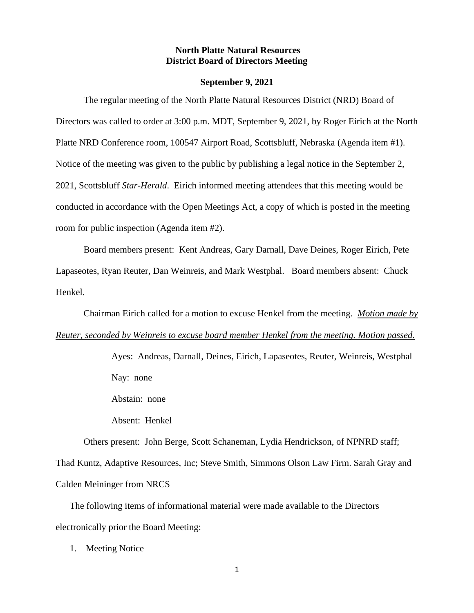# **North Platte Natural Resources District Board of Directors Meeting**

#### **September 9, 2021**

The regular meeting of the North Platte Natural Resources District (NRD) Board of Directors was called to order at 3:00 p.m. MDT, September 9, 2021, by Roger Eirich at the North Platte NRD Conference room, 100547 Airport Road, Scottsbluff, Nebraska (Agenda item #1). Notice of the meeting was given to the public by publishing a legal notice in the September 2, 2021, Scottsbluff *Star-Herald*. Eirich informed meeting attendees that this meeting would be conducted in accordance with the Open Meetings Act, a copy of which is posted in the meeting room for public inspection (Agenda item #2).

Board members present: Kent Andreas, Gary Darnall, Dave Deines, Roger Eirich, Pete Lapaseotes, Ryan Reuter, Dan Weinreis, and Mark Westphal. Board members absent: Chuck Henkel.

Chairman Eirich called for a motion to excuse Henkel from the meeting. *Motion made by Reuter, seconded by Weinreis to excuse board member Henkel from the meeting. Motion passed.*

> Ayes: Andreas, Darnall, Deines, Eirich, Lapaseotes, Reuter, Weinreis, Westphal Nay: none

Abstain: none

Absent: Henkel

Others present: John Berge, Scott Schaneman, Lydia Hendrickson, of NPNRD staff; Thad Kuntz, Adaptive Resources, Inc; Steve Smith, Simmons Olson Law Firm. Sarah Gray and Calden Meininger from NRCS

The following items of informational material were made available to the Directors electronically prior the Board Meeting:

1. Meeting Notice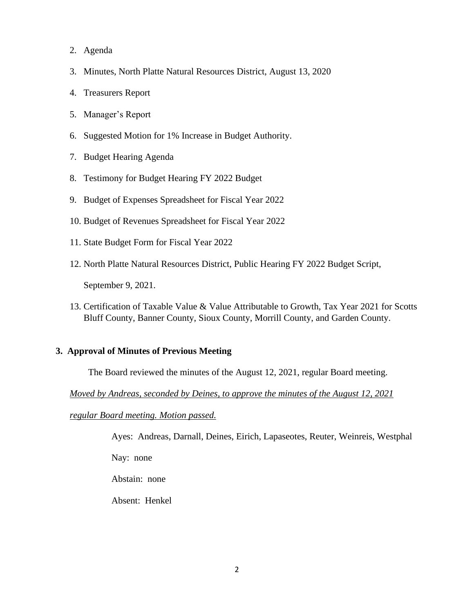- 2. Agenda
- 3. Minutes, North Platte Natural Resources District, August 13, 2020
- 4. Treasurers Report
- 5. Manager's Report
- 6. Suggested Motion for 1% Increase in Budget Authority.
- 7. Budget Hearing Agenda
- 8. Testimony for Budget Hearing FY 2022 Budget
- 9. Budget of Expenses Spreadsheet for Fiscal Year 2022
- 10. Budget of Revenues Spreadsheet for Fiscal Year 2022
- 11. State Budget Form for Fiscal Year 2022
- 12. North Platte Natural Resources District, Public Hearing FY 2022 Budget Script,

September 9, 2021.

13. Certification of Taxable Value & Value Attributable to Growth, Tax Year 2021 for Scotts Bluff County, Banner County, Sioux County, Morrill County, and Garden County.

# **3. Approval of Minutes of Previous Meeting**

The Board reviewed the minutes of the August 12, 2021, regular Board meeting.

*Moved by Andreas, seconded by Deines, to approve the minutes of the August 12, 2021* 

# *regular Board meeting. Motion passed.*

Ayes: Andreas, Darnall, Deines, Eirich, Lapaseotes, Reuter, Weinreis, Westphal

Nay: none

Abstain: none

Absent: Henkel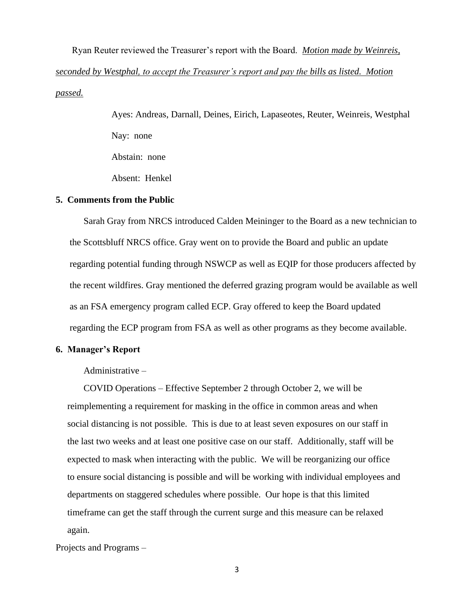Ryan Reuter reviewed the Treasurer's report with the Board. *Motion made by Weinreis, seconded by Westphal, to accept the Treasurer's report and pay the bills as listed. Motion passed.*

> Ayes: Andreas, Darnall, Deines, Eirich, Lapaseotes, Reuter, Weinreis, Westphal Nay: none Abstain: none Absent: Henkel

#### **5. Comments from the Public**

Sarah Gray from NRCS introduced Calden Meininger to the Board as a new technician to the Scottsbluff NRCS office. Gray went on to provide the Board and public an update regarding potential funding through NSWCP as well as EQIP for those producers affected by the recent wildfires. Gray mentioned the deferred grazing program would be available as well as an FSA emergency program called ECP. Gray offered to keep the Board updated regarding the ECP program from FSA as well as other programs as they become available.

#### **6. Manager's Report**

Administrative –

COVID Operations – Effective September 2 through October 2, we will be reimplementing a requirement for masking in the office in common areas and when social distancing is not possible. This is due to at least seven exposures on our staff in the last two weeks and at least one positive case on our staff. Additionally, staff will be expected to mask when interacting with the public. We will be reorganizing our office to ensure social distancing is possible and will be working with individual employees and departments on staggered schedules where possible. Our hope is that this limited timeframe can get the staff through the current surge and this measure can be relaxed again.

Projects and Programs –

3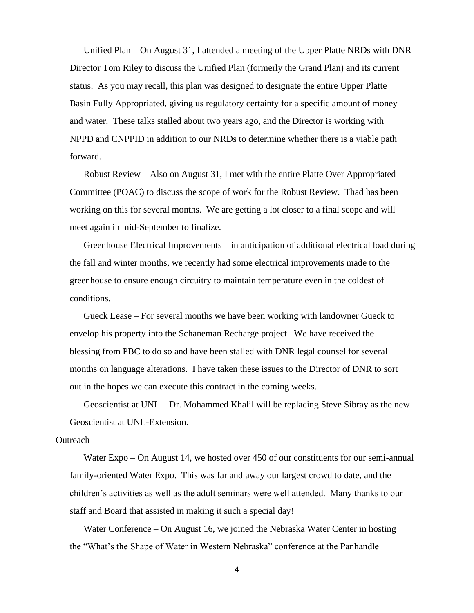Unified Plan – On August 31, I attended a meeting of the Upper Platte NRDs with DNR Director Tom Riley to discuss the Unified Plan (formerly the Grand Plan) and its current status. As you may recall, this plan was designed to designate the entire Upper Platte Basin Fully Appropriated, giving us regulatory certainty for a specific amount of money and water. These talks stalled about two years ago, and the Director is working with NPPD and CNPPID in addition to our NRDs to determine whether there is a viable path forward.

Robust Review – Also on August 31, I met with the entire Platte Over Appropriated Committee (POAC) to discuss the scope of work for the Robust Review. Thad has been working on this for several months. We are getting a lot closer to a final scope and will meet again in mid-September to finalize.

Greenhouse Electrical Improvements – in anticipation of additional electrical load during the fall and winter months, we recently had some electrical improvements made to the greenhouse to ensure enough circuitry to maintain temperature even in the coldest of conditions.

Gueck Lease – For several months we have been working with landowner Gueck to envelop his property into the Schaneman Recharge project. We have received the blessing from PBC to do so and have been stalled with DNR legal counsel for several months on language alterations. I have taken these issues to the Director of DNR to sort out in the hopes we can execute this contract in the coming weeks.

Geoscientist at UNL – Dr. Mohammed Khalil will be replacing Steve Sibray as the new Geoscientist at UNL-Extension.

## Outreach –

Water Expo – On August 14, we hosted over 450 of our constituents for our semi-annual family-oriented Water Expo. This was far and away our largest crowd to date, and the children's activities as well as the adult seminars were well attended. Many thanks to our staff and Board that assisted in making it such a special day!

Water Conference – On August 16, we joined the Nebraska Water Center in hosting the "What's the Shape of Water in Western Nebraska" conference at the Panhandle

4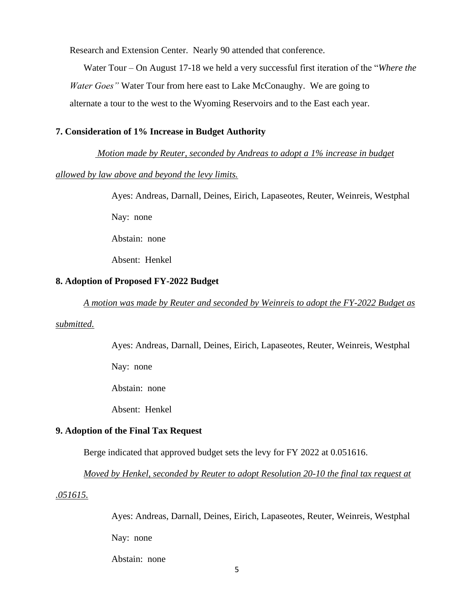Research and Extension Center. Nearly 90 attended that conference.

Water Tour – On August 17-18 we held a very successful first iteration of the "*Where the Water Goes"* Water Tour from here east to Lake McConaughy. We are going to alternate a tour to the west to the Wyoming Reservoirs and to the East each year.

#### **7. Consideration of 1% Increase in Budget Authority**

# *Motion made by Reuter, seconded by Andreas to adopt a 1% increase in budget*

# *allowed by law above and beyond the levy limits.*

Ayes: Andreas, Darnall, Deines, Eirich, Lapaseotes, Reuter, Weinreis, Westphal

Nay: none

Abstain: none

Absent: Henkel

# **8. Adoption of Proposed FY-2022 Budget**

*A motion was made by Reuter and seconded by Weinreis to adopt the FY-2022 Budget as* 

### *submitted.*

Ayes: Andreas, Darnall, Deines, Eirich, Lapaseotes, Reuter, Weinreis, Westphal

Nay: none

Abstain: none

Absent: Henkel

# **9. Adoption of the Final Tax Request**

Berge indicated that approved budget sets the levy for FY 2022 at 0.051616.

*Moved by Henkel, seconded by Reuter to adopt Resolution 20-10 the final tax request at* 

### *.051615.*

Ayes: Andreas, Darnall, Deines, Eirich, Lapaseotes, Reuter, Weinreis, Westphal Nay: none

Abstain: none